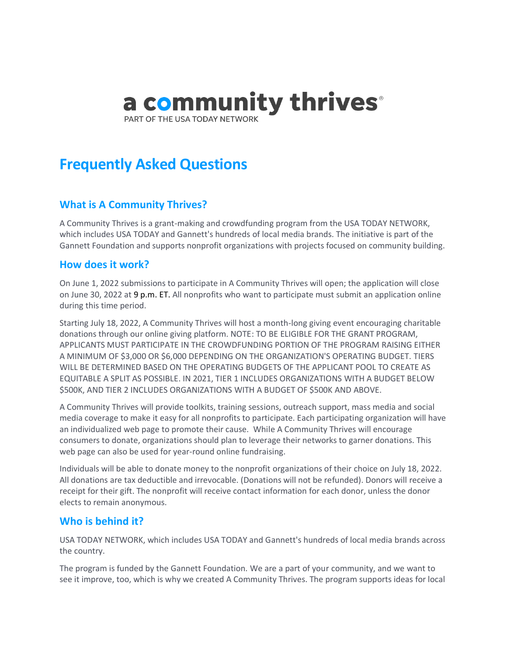# a community thrives®

PART OF THE USA TODAY NETWORK

# **Frequently Asked Questions**

# **What is A Community Thrives?**

A Community Thrives is a grant-making and crowdfunding program from the USA TODAY NETWORK, which includes USA TODAY and Gannett's hundreds of local media brands. The initiative is part of the Gannett Foundation and supports nonprofit organizations with projects focused on community building.

# **How does it work?**

On June 1, 2022 submissions to participate in A Community Thrives will open; the application will close on June 30, 2022 at 9 p.m. ET. All nonprofits who want to participate must submit an application online during this time period.

Starting July 18, 2022, A Community Thrives will host a month-long giving event encouraging charitable donations through our online giving platform. NOTE: TO BE ELIGIBLE FOR THE GRANT PROGRAM, APPLICANTS MUST PARTICIPATE IN THE CROWDFUNDING PORTION OF THE PROGRAM RAISING EITHER A MINIMUM OF \$3,000 OR \$6,000 DEPENDING ON THE ORGANIZATION'S OPERATING BUDGET. TIERS WILL BE DETERMINED BASED ON THE OPERATING BUDGETS OF THE APPLICANT POOL TO CREATE AS EQUITABLE A SPLIT AS POSSIBLE. IN 2021, TIER 1 INCLUDES ORGANIZATIONS WITH A BUDGET BELOW \$500K, AND TIER 2 INCLUDES ORGANIZATIONS WITH A BUDGET OF \$500K AND ABOVE.

A Community Thrives will provide toolkits, training sessions, outreach support, mass media and social media coverage to make it easy for all nonprofits to participate. Each participating organization will have an individualized web page to promote their cause. While A Community Thrives will encourage consumers to donate, organizations should plan to leverage their networks to garner donations. This web page can also be used for year-round online fundraising.

Individuals will be able to donate money to the nonprofit organizations of their choice on July 18, 2022. All donations are tax deductible and irrevocable. (Donations will not be refunded). Donors will receive a receipt for their gift. The nonprofit will receive contact information for each donor, unless the donor elects to remain anonymous.

# **Who is behind it?**

USA TODAY NETWORK, which includes USA TODAY and Gannett's hundreds of local media brands across the country.

The program is funded by the Gannett Foundation. We are a part of your community, and we want to see it improve, too, which is why we created A Community Thrives. The program supports ideas for local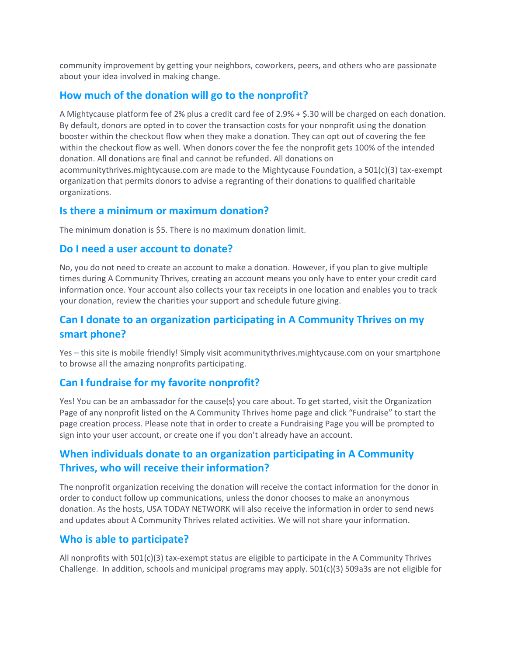community improvement by getting your neighbors, coworkers, peers, and others who are passionate about your idea involved in making change.

#### **How much of the donation will go to the nonprofit?**

A Mightycause platform fee of 2% plus a credit card fee of 2.9% + \$.30 will be charged on each donation. By default, donors are opted in to cover the transaction costs for your nonprofit using the donation booster within the checkout flow when they make a donation. They can opt out of covering the fee within the checkout flow as well. When donors cover the fee the nonprofit gets 100% of the intended donation. All donations are final and cannot be refunded. All donations on acommunitythrives.mightycause.com are made to the Mightycause Foundation, a 501(c)(3) tax-exempt organization that permits donors to advise a regranting of their donations to qualified charitable organizations.

#### **Is there a minimum or maximum donation?**

The minimum donation is \$5. There is no maximum donation limit.

#### **Do I need a user account to donate?**

No, you do not need to create an account to make a donation. However, if you plan to give multiple times during A Community Thrives, creating an account means you only have to enter your credit card information once. Your account also collects your tax receipts in one location and enables you to track your donation, review the charities your support and schedule future giving.

# **Can I donate to an organization participating in A Community Thrives on my smart phone?**

Yes – this site is mobile friendly! Simply visit acommunitythrives.mightycause.com on your smartphone to browse all the amazing nonprofits participating.

# **Can I fundraise for my favorite nonprofit?**

Yes! You can be an ambassador for the cause(s) you care about. To get started, visit the Organization Page of any nonprofit listed on the A Community Thrives home page and click "Fundraise" to start the page creation process. Please note that in order to create a Fundraising Page you will be prompted to sign into your user account, or create one if you don't already have an account.

# **When individuals donate to an organization participating in A Community Thrives, who will receive their information?**

The nonprofit organization receiving the donation will receive the contact information for the donor in order to conduct follow up communications, unless the donor chooses to make an anonymous donation. As the hosts, USA TODAY NETWORK will also receive the information in order to send news and updates about A Community Thrives related activities. We will not share your information.

# **Who is able to participate?**

All nonprofits with 501(c)(3) tax-exempt status are eligible to participate in the A Community Thrives Challenge. In addition, schools and municipal programs may apply. 501(c)(3) 509a3s are not eligible for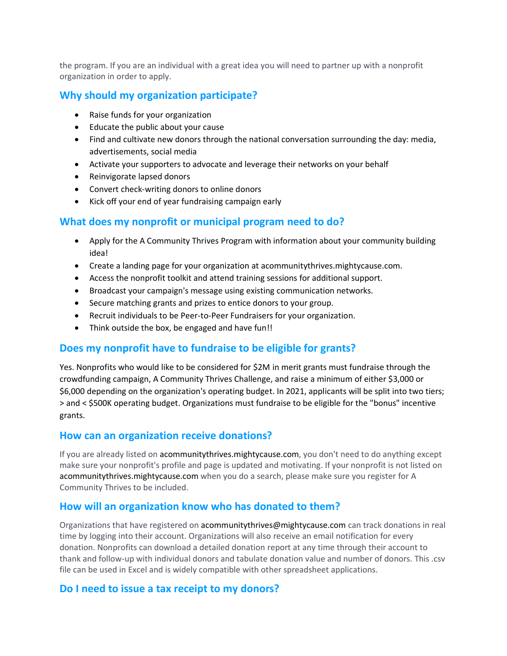the program. If you are an individual with a great idea you will need to partner up with a nonprofit organization in order to apply.

# **Why should my organization participate?**

- Raise funds for your organization
- Educate the public about your cause
- Find and cultivate new donors through the national conversation surrounding the day: media, advertisements, social media
- Activate your supporters to advocate and leverage their networks on your behalf
- Reinvigorate lapsed donors
- Convert check-writing donors to online donors
- Kick off your end of year fundraising campaign early

# **What does my nonprofit or municipal program need to do?**

- Apply for the A Community Thrives Program with information about your community building idea!
- Create a landing page for your organization at acommunitythrives.mightycause.com.
- Access the nonprofit toolkit and attend training sessions for additional support.
- Broadcast your campaign's message using existing communication networks.
- Secure matching grants and prizes to entice donors to your group.
- Recruit individuals to be Peer-to-Peer Fundraisers for your organization.
- Think outside the box, be engaged and have fun!!

# **Does my nonprofit have to fundraise to be eligible for grants?**

Yes. Nonprofits who would like to be considered for \$2M in merit grants must fundraise through the crowdfunding campaign, A Community Thrives Challenge, and raise a minimum of either \$3,000 or \$6,000 depending on the organization's operating budget. In 2021, applicants will be split into two tiers; > and < \$500K operating budget. Organizations must fundraise to be eligible for the "bonus" incentive grants.

#### **How can an organization receive donations?**

If you are already listed on acommunitythrives.mightycause.com, you don't need to do anything except make sure your nonprofit's profile and page is updated and motivating. If your nonprofit is not listed on acommunitythrives.mightycause.com when you do a search, please make sure you register for A Community Thrives to be included.

#### **How will an organization know who has donated to them?**

Organizations that have registered on acommunitythrives@mightycause.com can track donations in real time by logging into their account. Organizations will also receive an email notification for every donation. Nonprofits can download a detailed donation report at any time through their account to thank and follow-up with individual donors and tabulate donation value and number of donors. This .csv file can be used in Excel and is widely compatible with other spreadsheet applications.

#### **Do I need to issue a tax receipt to my donors?**